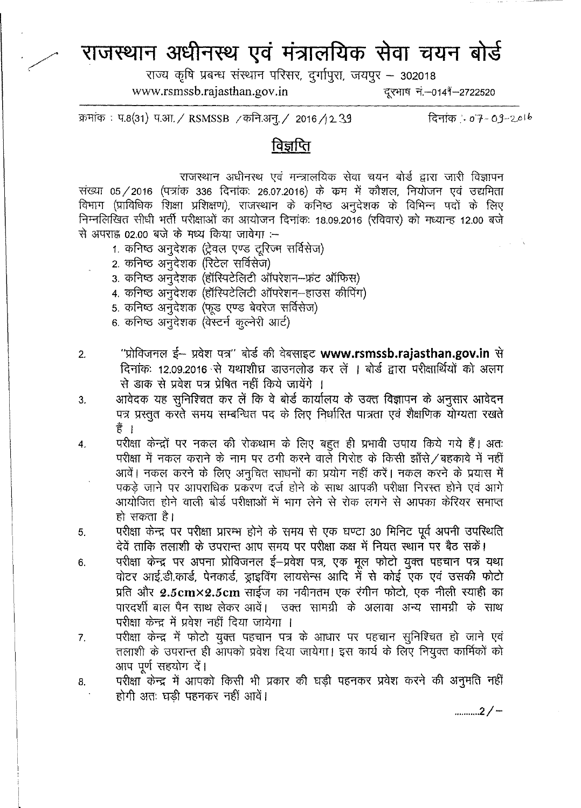## **~ ~ ~ s:i?llclfti(f) ~** =qll~ ~

राज्य कृषि प्रबन्ध संस्थान परिसर, दुर्गापुरा, जयपुर - 302018 [www.rsmssb.rajasthan.gov.in](http://www.rsmssb.rajasthan.gov.in) - - दूरभाष नं.-0149-2722520

क्रमांक: प.8(31) प.आ. / RSMSSB /कनि.अन्. / 2016 /12.39

दिनांक :- 07-09-2016

## विज्ञप्ति

राजस्थान अधीनस्थ एवं मन्त्रालयिक सेवा चयन बोर्ड द्वारा जारी विज्ञापन संख्या 05/2016 (पत्रांक 336 दिनांक: 26.07.2016) के कम में कौशल, नियोजन एवं उद्यमिता fdभाग (प्राविधिक शिक्षा प्रशिक्षण), राजस्थान के कनिष्ठ अनुदेशक के विभिन्न पदों के लिए निम्नलिखित सीधी भर्ती परीक्षाओं का आयोजन दिनांक: 18.09.2016 (रविवार) को मध्यान्ह 12.00 बजे से अपराह 02.00 बजे के मध्य किया जावेगा :--

- 1. कनिष्ठ अनुदेशक (ट्रेवल एण्ड टूरिज्म सर्विसेज)
- 2. कनिष्ठ अनुदेशक (रिटेल सर्विसेज)
- 3. कनिष्ठ अनुदेशक (हॉस्पिटेलिटी ऑपरेशन-फ्रंट ऑफिस)
- 4. कनिष्ठ अनुदेशक (हॉरिपटेलिटी ऑपरेशन-हाउस कीपिंग)
- 5. कनिष्ठ अनुदेशक (फूड एण्ड बेवरेज सर्विसेज)
- 6. कनिष्ठ अनुदेशक (वेस्टर्न कल्नेरी आर्ट)
- 2. "प्रोविजनल ई- प्रवेश पत्र" बोर्ड की वेबसाइट [www.rsmssb.rajasthan.gov.in](http://www.rsmssb.rajasthan.gov.in) से दिनांकः 12.09.2016 से यथाशीघ्र डाउनलोड कर लें । बोर्ड द्वारा परीक्षार्थियों को अलग से डाक से प्रवेश पत्र प्रेषित नहीं किये जायेंगे ।
- 3. व्यावेदक यह सुनिश्चित कर लें कि वे बोर्ड कार्यालय के उक्त विज्ञापन के अनुसार आवेदन पत्र प्रस्तुत करते समय सम्बन्धित पद के लिए निर्धारित पात्रता एवं शैक्षणिक योग्यता रखते हैं ।
- 4. 4. परीक्षा केन्द्रों पर नकल की रोकथाम के लिए बहुत ही प्रभावी उपाय किये गये हैं। अतः परीक्षा में नकल कराने के नाम पर ठगी करने वार्ले गिरोह के किसी झाँसे / बहकावे में नहीं आवें। नकल करने के लिए अनुचित साधनों का प्रयोग नहीं करें। नकल करने के प्रयास में पकड़े जाने पर आपराधिक प्रकरण दर्ज होने के साथ आपकी परीक्षा निरस्त होने एवं आगे आयोजित होने वाली बोर्ड परीक्षाओं में भाग लेने से रोक लगने से आपका केरियर समाप्त हो सकता है।
- 5. परीक्षा केन्द्र पर परीक्षा प्रारम्भ होने के समय से एक घण्टा 30 मिनिट पूर्व अपनी उपस्थिति देवें ताकि तलाशी के उपरान्त आप समय पर परीक्षा कक्ष में नियत स्थान पर बैठ सकें।
- 6. 4रीक्षा केन्द्र पर अपना प्रोविजनल ई-प्रवेश पत्र, एक मूल फोटो युक्त पहचान पत्र यथा वोटर आई.डी.कार्ड, पेनकार्ड, ड्राइविंग लायसेन्स आदि में से कोई एक एवं उसकी फोटो प्रति और  $2.5 \text{cm} \times 2.5 \text{cm}$  साईज का नवीनतम एक रंगीन फोटो, एक नीली स्याही का पारदर्शी बाल पैन साथ लेकर आवें। उक्त सामग्री के अलावा अन्य सामग्री के साथ परीक्षा केन्द्र में प्रवेश नहीं दिया जायेगा ।
- 7. परीक्षा केन्द्र में फोटो युक्त पहचान पत्र के आधार पर पहचान सुनिश्चित हो जाने एवं तलाशी के उपरान्त ही आपको प्रवेश दिया जायेगा। इस कार्य के लिए नियुक्त कार्मिकों को आप पूर्ण सहयोग दें।
- 8. . . . परीक्षा केन्द्र में आपको किसी भी प्रकार की घड़ी पहनकर प्रवेश करने की अनुमति नहीं होगी अतः घडी पहनकर नहीं आवें।

........... 2/-